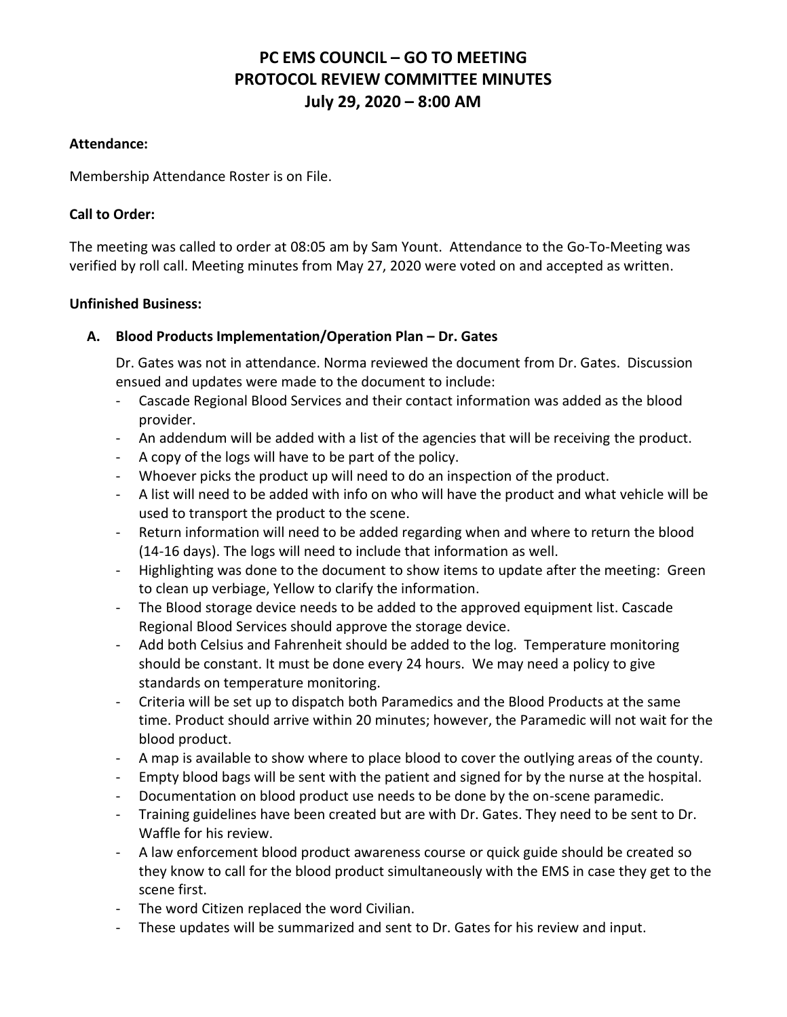# **PC EMS COUNCIL – GO TO MEETING PROTOCOL REVIEW COMMITTEE MINUTES July 29, 2020 – 8:00 AM**

#### **Attendance:**

Membership Attendance Roster is on File.

### **Call to Order:**

The meeting was called to order at 08:05 am by Sam Yount. Attendance to the Go-To-Meeting was verified by roll call. Meeting minutes from May 27, 2020 were voted on and accepted as written.

#### **Unfinished Business:**

## **A. Blood Products Implementation/Operation Plan – Dr. Gates**

Dr. Gates was not in attendance. Norma reviewed the document from Dr. Gates. Discussion ensued and updates were made to the document to include:

- Cascade Regional Blood Services and their contact information was added as the blood provider.
- An addendum will be added with a list of the agencies that will be receiving the product.
- A copy of the logs will have to be part of the policy.
- Whoever picks the product up will need to do an inspection of the product.
- A list will need to be added with info on who will have the product and what vehicle will be used to transport the product to the scene.
- Return information will need to be added regarding when and where to return the blood (14-16 days). The logs will need to include that information as well.
- Highlighting was done to the document to show items to update after the meeting: Green to clean up verbiage, Yellow to clarify the information.
- The Blood storage device needs to be added to the approved equipment list. Cascade Regional Blood Services should approve the storage device.
- Add both Celsius and Fahrenheit should be added to the log. Temperature monitoring should be constant. It must be done every 24 hours. We may need a policy to give standards on temperature monitoring.
- Criteria will be set up to dispatch both Paramedics and the Blood Products at the same time. Product should arrive within 20 minutes; however, the Paramedic will not wait for the blood product.
- A map is available to show where to place blood to cover the outlying areas of the county.
- Empty blood bags will be sent with the patient and signed for by the nurse at the hospital.
- Documentation on blood product use needs to be done by the on-scene paramedic.
- Training guidelines have been created but are with Dr. Gates. They need to be sent to Dr. Waffle for his review.
- A law enforcement blood product awareness course or quick guide should be created so they know to call for the blood product simultaneously with the EMS in case they get to the scene first.
- The word Citizen replaced the word Civilian.
- These updates will be summarized and sent to Dr. Gates for his review and input.